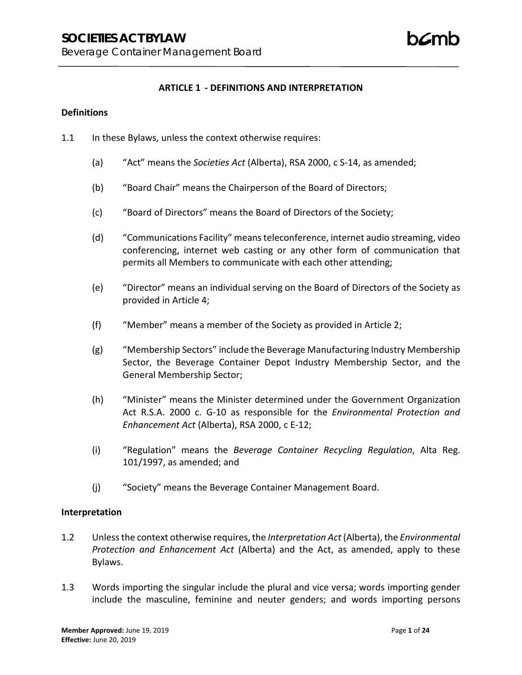### **ARTICLE 1 - DEFINITIONS AND INTERPRETATION**

### **Definitions**

- 1.1 In these Bylaws, unless the context otherwise requires:
	- (a) "Act" means the *Societies Act* (Alberta), RSA 2000, c S-14, as amended;
	- (b) "Board Chair" means the Chairperson of the Board of Directors;
	- (c) "Board of Directors" means the Board of Directors of the Society;
	- (d) "Communications Facility" means teleconference, internet audio streaming, video conferencing, internet web casting or any other form of communication that permits all Members to communicate with each other attending;
	- (e) "Director" means an individual serving on the Board of Directors of the Society as provided in Article 4;
	- (f) "Member" means a member of the Society as provided in Article 2;
	- (g) "Membership Sectors" include the Beverage Manufacturing Industry Membership Sector, the Beverage Container Depot Industry Membership Sector, and the General Membership Sector;
	- (h) "Minister" means the Minister determined under the Government Organization Act R.S.A. 2000 c. G-10 as responsible for the *Environmental Protection and Enhancement Act* (Alberta), RSA 2000, c E-12;
	- (i) "Regulation" means the *Beverage Container Recycling Regulation*, Alta Reg. 101/1997, as amended; and
	- (j) "Society" means the Beverage Container Management Board.

### **Interpretation**

- 1.2 Unless the context otherwise requires, the *Interpretation Act* (Alberta), the *Environmental Protection and Enhancement Act* (Alberta) and the Act, as amended, apply to these Bylaws.
- 1.3 Words importing the singular include the plural and vice versa; words importing gender include the masculine, feminine and neuter genders; and words importing persons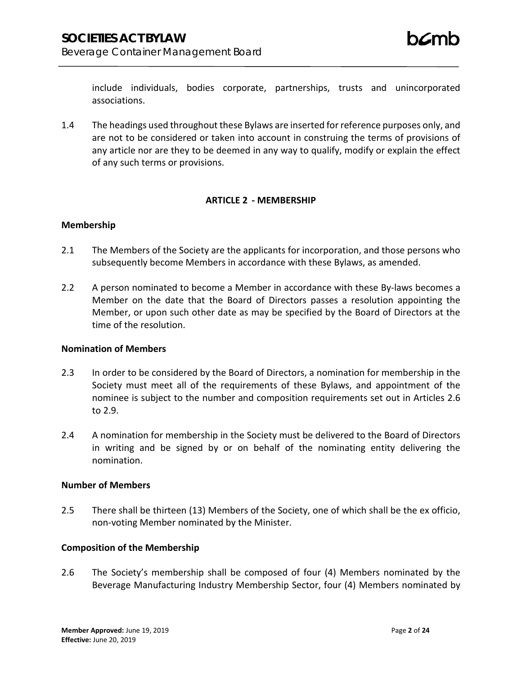include individuals, bodies corporate, partnerships, trusts and unincorporated associations.

1.4 The headings used throughout these Bylaws are inserted for reference purposes only, and are not to be considered or taken into account in construing the terms of provisions of any article nor are they to be deemed in any way to qualify, modify or explain the effect of any such terms or provisions.

### **ARTICLE 2 - MEMBERSHIP**

### **Membership**

- 2.1 The Members of the Society are the applicants for incorporation, and those persons who subsequently become Members in accordance with these Bylaws, as amended.
- 2.2 A person nominated to become a Member in accordance with these By-laws becomes a Member on the date that the Board of Directors passes a resolution appointing the Member, or upon such other date as may be specified by the Board of Directors at the time of the resolution.

### **Nomination of Members**

- 2.3 In order to be considered by the Board of Directors, a nomination for membership in the Society must meet all of the requirements of these Bylaws, and appointment of the nominee is subject to the number and composition requirements set out in Articles 2.6 to 2.9.
- 2.4 A nomination for membership in the Society must be delivered to the Board of Directors in writing and be signed by or on behalf of the nominating entity delivering the nomination.

### **Number of Members**

2.5 There shall be thirteen (13) Members of the Society, one of which shall be the ex officio, non-voting Member nominated by the Minister.

### **Composition of the Membership**

2.6 The Society's membership shall be composed of four (4) Members nominated by the Beverage Manufacturing Industry Membership Sector, four (4) Members nominated by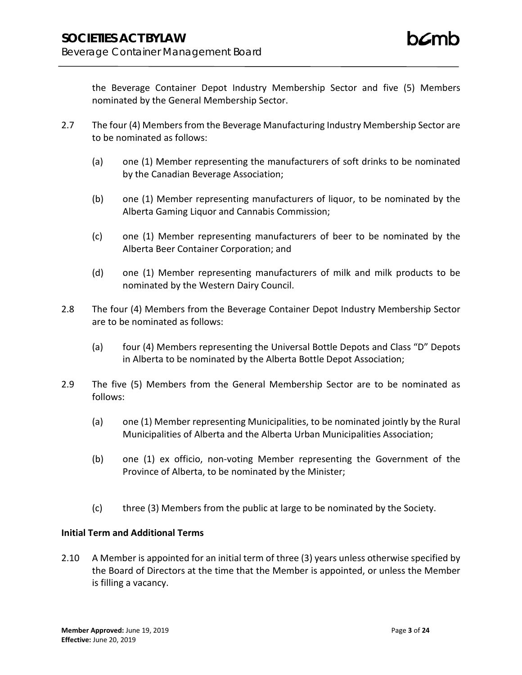the Beverage Container Depot Industry Membership Sector and five (5) Members nominated by the General Membership Sector.

- 2.7 The four (4) Members from the Beverage Manufacturing Industry Membership Sector are to be nominated as follows:
	- (a) one (1) Member representing the manufacturers of soft drinks to be nominated by the Canadian Beverage Association;
	- (b) one (1) Member representing manufacturers of liquor, to be nominated by the Alberta Gaming Liquor and Cannabis Commission;
	- (c) one (1) Member representing manufacturers of beer to be nominated by the Alberta Beer Container Corporation; and
	- (d) one (1) Member representing manufacturers of milk and milk products to be nominated by the Western Dairy Council.
- 2.8 The four (4) Members from the Beverage Container Depot Industry Membership Sector are to be nominated as follows:
	- (a) four (4) Members representing the Universal Bottle Depots and Class "D" Depots in Alberta to be nominated by the Alberta Bottle Depot Association;
- 2.9 The five (5) Members from the General Membership Sector are to be nominated as follows:
	- (a) one (1) Member representing Municipalities, to be nominated jointly by the Rural Municipalities of Alberta and the Alberta Urban Municipalities Association;
	- (b) one (1) ex officio, non-voting Member representing the Government of the Province of Alberta, to be nominated by the Minister;
	- (c) three (3) Members from the public at large to be nominated by the Society.

# **Initial Term and Additional Terms**

2.10 A Member is appointed for an initial term of three (3) years unless otherwise specified by the Board of Directors at the time that the Member is appointed, or unless the Member is filling a vacancy.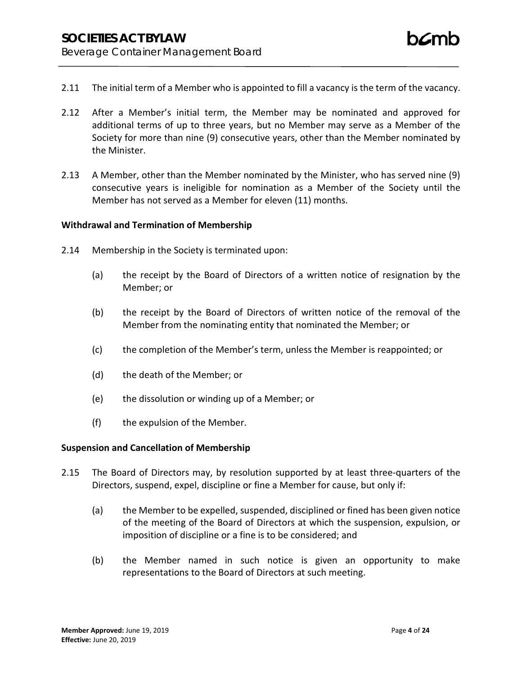- 2.11 The initial term of a Member who is appointed to fill a vacancy is the term of the vacancy.
- 2.12 After a Member's initial term, the Member may be nominated and approved for additional terms of up to three years, but no Member may serve as a Member of the Society for more than nine (9) consecutive years, other than the Member nominated by the Minister.
- 2.13 A Member, other than the Member nominated by the Minister, who has served nine (9) consecutive years is ineligible for nomination as a Member of the Society until the Member has not served as a Member for eleven (11) months.

### **Withdrawal and Termination of Membership**

- 2.14 Membership in the Society is terminated upon:
	- (a) the receipt by the Board of Directors of a written notice of resignation by the Member; or
	- (b) the receipt by the Board of Directors of written notice of the removal of the Member from the nominating entity that nominated the Member; or
	- (c) the completion of the Member's term, unless the Member is reappointed; or
	- (d) the death of the Member; or
	- (e) the dissolution or winding up of a Member; or
	- (f) the expulsion of the Member.

### **Suspension and Cancellation of Membership**

- 2.15 The Board of Directors may, by resolution supported by at least three-quarters of the Directors, suspend, expel, discipline or fine a Member for cause, but only if:
	- (a) the Member to be expelled, suspended, disciplined or fined has been given notice of the meeting of the Board of Directors at which the suspension, expulsion, or imposition of discipline or a fine is to be considered; and
	- (b) the Member named in such notice is given an opportunity to make representations to the Board of Directors at such meeting.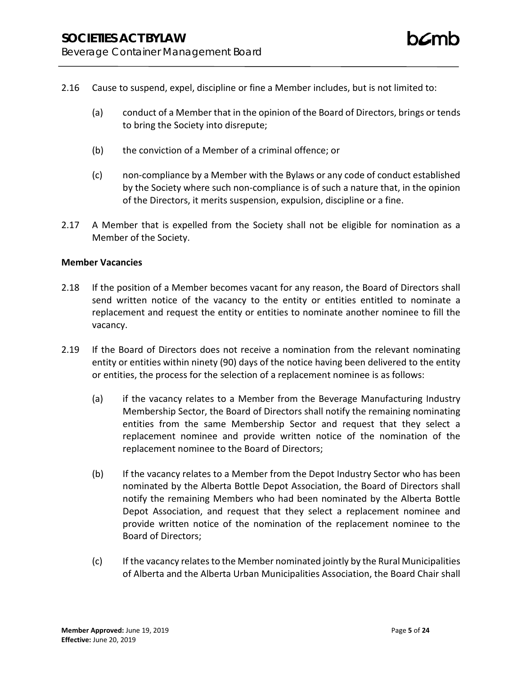- 2.16 Cause to suspend, expel, discipline or fine a Member includes, but is not limited to:
	- (a) conduct of a Member that in the opinion of the Board of Directors, brings or tends to bring the Society into disrepute;
	- (b) the conviction of a Member of a criminal offence; or
	- (c) non-compliance by a Member with the Bylaws or any code of conduct established by the Society where such non-compliance is of such a nature that, in the opinion of the Directors, it merits suspension, expulsion, discipline or a fine.
- 2.17 A Member that is expelled from the Society shall not be eligible for nomination as a Member of the Society.

### **Member Vacancies**

- 2.18 If the position of a Member becomes vacant for any reason, the Board of Directors shall send written notice of the vacancy to the entity or entities entitled to nominate a replacement and request the entity or entities to nominate another nominee to fill the vacancy.
- 2.19 If the Board of Directors does not receive a nomination from the relevant nominating entity or entities within ninety (90) days of the notice having been delivered to the entity or entities, the process for the selection of a replacement nominee is as follows:
	- (a) if the vacancy relates to a Member from the Beverage Manufacturing Industry Membership Sector, the Board of Directors shall notify the remaining nominating entities from the same Membership Sector and request that they select a replacement nominee and provide written notice of the nomination of the replacement nominee to the Board of Directors;
	- (b) If the vacancy relates to a Member from the Depot Industry Sector who has been nominated by the Alberta Bottle Depot Association, the Board of Directors shall notify the remaining Members who had been nominated by the Alberta Bottle Depot Association, and request that they select a replacement nominee and provide written notice of the nomination of the replacement nominee to the Board of Directors;
	- (c) If the vacancy relates to the Member nominated jointly by the Rural Municipalities of Alberta and the Alberta Urban Municipalities Association, the Board Chair shall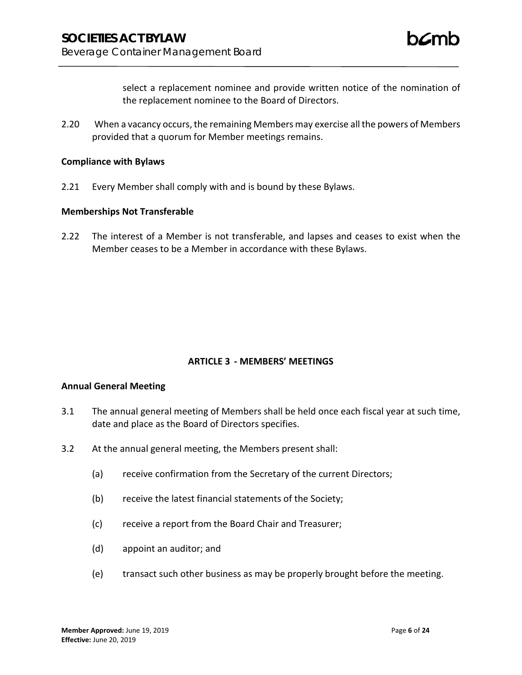select a replacement nominee and provide written notice of the nomination of the replacement nominee to the Board of Directors.

2.20 When a vacancy occurs, the remaining Members may exercise all the powers of Members provided that a quorum for Member meetings remains.

#### **Compliance with Bylaws**

2.21 Every Member shall comply with and is bound by these Bylaws.

#### **Memberships Not Transferable**

2.22 The interest of a Member is not transferable, and lapses and ceases to exist when the Member ceases to be a Member in accordance with these Bylaws.

### **ARTICLE 3 - MEMBERS' MEETINGS**

#### **Annual General Meeting**

- 3.1 The annual general meeting of Members shall be held once each fiscal year at such time, date and place as the Board of Directors specifies.
- 3.2 At the annual general meeting, the Members present shall:
	- (a) receive confirmation from the Secretary of the current Directors;
	- (b) receive the latest financial statements of the Society;
	- (c) receive a report from the Board Chair and Treasurer;
	- (d) appoint an auditor; and
	- (e) transact such other business as may be properly brought before the meeting.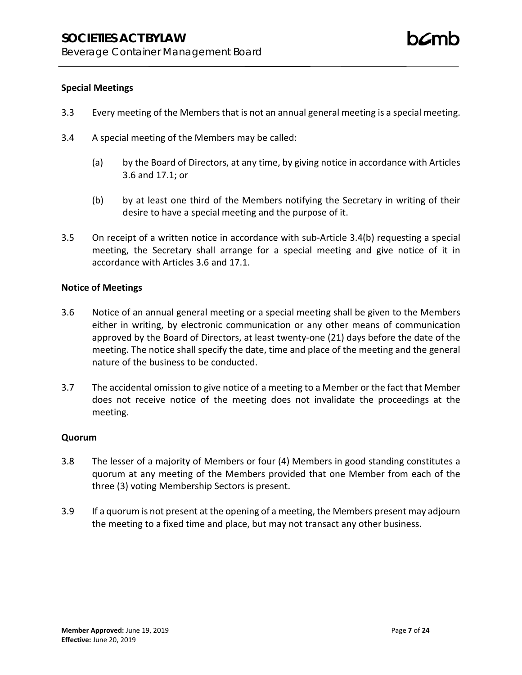# **Special Meetings**

- 3.3 Every meeting of the Members that is not an annual general meeting is a special meeting.
- 3.4 A special meeting of the Members may be called:
	- (a) by the Board of Directors, at any time, by giving notice in accordance with Articles 3.6 and 17.1; or
	- (b) by at least one third of the Members notifying the Secretary in writing of their desire to have a special meeting and the purpose of it.
- 3.5 On receipt of a written notice in accordance with sub-Article 3.4(b) requesting a special meeting, the Secretary shall arrange for a special meeting and give notice of it in accordance with Articles 3.6 and 17.1.

# **Notice of Meetings**

- 3.6 Notice of an annual general meeting or a special meeting shall be given to the Members either in writing, by electronic communication or any other means of communication approved by the Board of Directors, at least twenty-one (21) days before the date of the meeting. The notice shall specify the date, time and place of the meeting and the general nature of the business to be conducted.
- 3.7 The accidental omission to give notice of a meeting to a Member or the fact that Member does not receive notice of the meeting does not invalidate the proceedings at the meeting.

### **Quorum**

- 3.8 The lesser of a majority of Members or four (4) Members in good standing constitutes a quorum at any meeting of the Members provided that one Member from each of the three (3) voting Membership Sectors is present.
- 3.9 If a quorum is not present at the opening of a meeting, the Members present may adjourn the meeting to a fixed time and place, but may not transact any other business.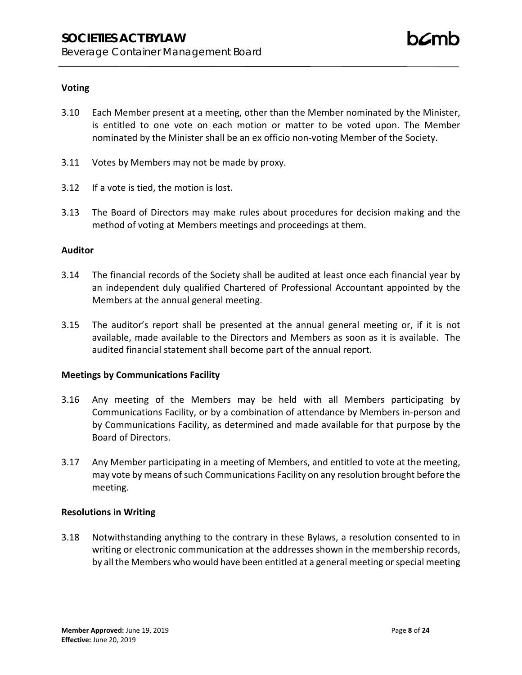# **Voting**

- 3.10 Each Member present at a meeting, other than the Member nominated by the Minister, is entitled to one vote on each motion or matter to be voted upon. The Member nominated by the Minister shall be an ex officio non-voting Member of the Society.
- 3.11 Votes by Members may not be made by proxy.
- 3.12 If a vote is tied, the motion is lost.
- 3.13 The Board of Directors may make rules about procedures for decision making and the method of voting at Members meetings and proceedings at them.

### **Auditor**

- 3.14 The financial records of the Society shall be audited at least once each financial year by an independent duly qualified Chartered of Professional Accountant appointed by the Members at the annual general meeting.
- 3.15 The auditor's report shall be presented at the annual general meeting or, if it is not available, made available to the Directors and Members as soon as it is available. The audited financial statement shall become part of the annual report.

# **Meetings by Communications Facility**

- 3.16 Any meeting of the Members may be held with all Members participating by Communications Facility, or by a combination of attendance by Members in-person and by Communications Facility, as determined and made available for that purpose by the Board of Directors.
- 3.17 Any Member participating in a meeting of Members, and entitled to vote at the meeting, may vote by means of such Communications Facility on any resolution brought before the meeting.

# **Resolutions in Writing**

3.18 Notwithstanding anything to the contrary in these Bylaws, a resolution consented to in writing or electronic communication at the addresses shown in the membership records, by all the Members who would have been entitled at a general meeting or special meeting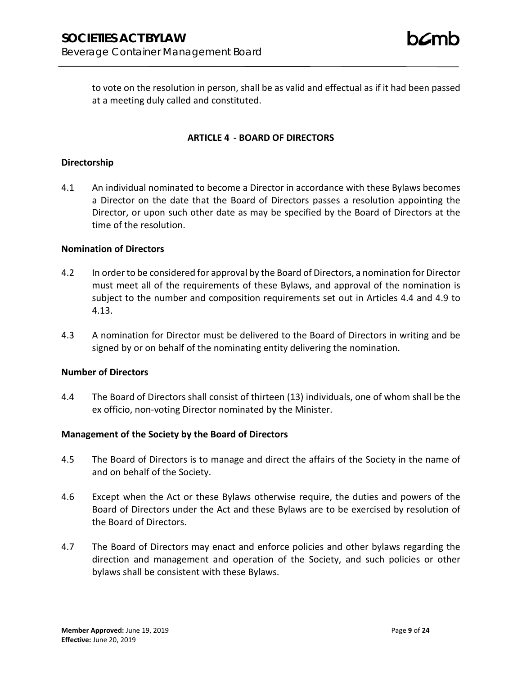to vote on the resolution in person, shall be as valid and effectual as if it had been passed at a meeting duly called and constituted.

# **ARTICLE 4 - BOARD OF DIRECTORS**

#### **Directorship**

4.1 An individual nominated to become a Director in accordance with these Bylaws becomes a Director on the date that the Board of Directors passes a resolution appointing the Director, or upon such other date as may be specified by the Board of Directors at the time of the resolution.

### **Nomination of Directors**

- 4.2 In order to be considered for approval by the Board of Directors, a nomination for Director must meet all of the requirements of these Bylaws, and approval of the nomination is subject to the number and composition requirements set out in Articles 4.4 and 4.9 to 4.13.
- 4.3 A nomination for Director must be delivered to the Board of Directors in writing and be signed by or on behalf of the nominating entity delivering the nomination.

### **Number of Directors**

4.4 The Board of Directors shall consist of thirteen (13) individuals, one of whom shall be the ex officio, non-voting Director nominated by the Minister.

### **Management of the Society by the Board of Directors**

- 4.5 The Board of Directors is to manage and direct the affairs of the Society in the name of and on behalf of the Society.
- 4.6 Except when the Act or these Bylaws otherwise require, the duties and powers of the Board of Directors under the Act and these Bylaws are to be exercised by resolution of the Board of Directors.
- 4.7 The Board of Directors may enact and enforce policies and other bylaws regarding the direction and management and operation of the Society, and such policies or other bylaws shall be consistent with these Bylaws.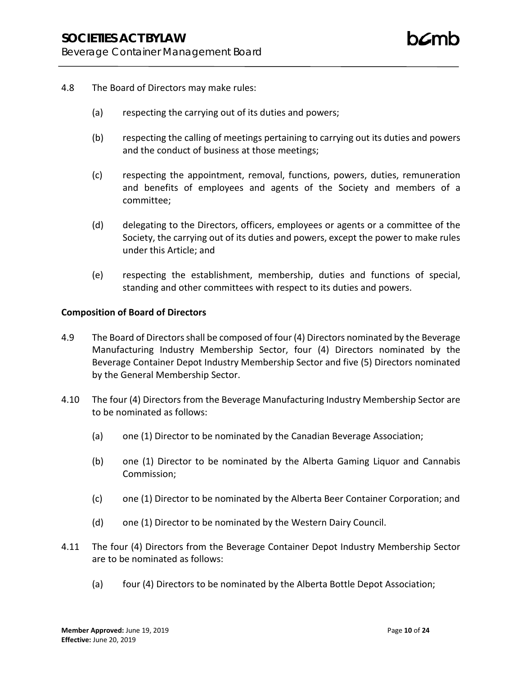- 4.8 The Board of Directors may make rules:
	- (a) respecting the carrying out of its duties and powers;
	- (b) respecting the calling of meetings pertaining to carrying out its duties and powers and the conduct of business at those meetings;
	- (c) respecting the appointment, removal, functions, powers, duties, remuneration and benefits of employees and agents of the Society and members of a committee;
	- (d) delegating to the Directors, officers, employees or agents or a committee of the Society, the carrying out of its duties and powers, except the power to make rules under this Article; and
	- (e) respecting the establishment, membership, duties and functions of special, standing and other committees with respect to its duties and powers.

### **Composition of Board of Directors**

- 4.9 The Board of Directors shall be composed of four (4) Directors nominated by the Beverage Manufacturing Industry Membership Sector, four (4) Directors nominated by the Beverage Container Depot Industry Membership Sector and five (5) Directors nominated by the General Membership Sector.
- 4.10 The four (4) Directors from the Beverage Manufacturing Industry Membership Sector are to be nominated as follows:
	- (a) one (1) Director to be nominated by the Canadian Beverage Association;
	- (b) one (1) Director to be nominated by the Alberta Gaming Liquor and Cannabis Commission;
	- (c) one (1) Director to be nominated by the Alberta Beer Container Corporation; and
	- (d) one (1) Director to be nominated by the Western Dairy Council.
- 4.11 The four (4) Directors from the Beverage Container Depot Industry Membership Sector are to be nominated as follows:
	- (a) four (4) Directors to be nominated by the Alberta Bottle Depot Association;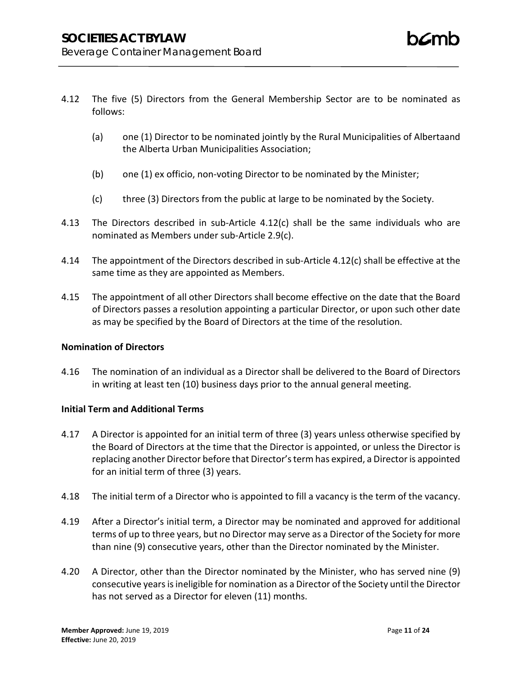- 4.12 The five (5) Directors from the General Membership Sector are to be nominated as follows:
	- (a) one (1) Director to be nominated jointly by the Rural Municipalities of Albertaand the Alberta Urban Municipalities Association;
	- (b) one (1) ex officio, non-voting Director to be nominated by the Minister;
	- (c) three (3) Directors from the public at large to be nominated by the Society.
- 4.13 The Directors described in sub-Article 4.12(c) shall be the same individuals who are nominated as Members under sub-Article 2.9(c).
- 4.14 The appointment of the Directors described in sub-Article 4.12(c) shall be effective at the same time as they are appointed as Members.
- 4.15 The appointment of all other Directors shall become effective on the date that the Board of Directors passes a resolution appointing a particular Director, or upon such other date as may be specified by the Board of Directors at the time of the resolution.

# **Nomination of Directors**

4.16 The nomination of an individual as a Director shall be delivered to the Board of Directors in writing at least ten (10) business days prior to the annual general meeting.

# **Initial Term and Additional Terms**

- 4.17 A Director is appointed for an initial term of three (3) years unless otherwise specified by the Board of Directors at the time that the Director is appointed, or unless the Director is replacing another Director before that Director's term has expired, a Director is appointed for an initial term of three (3) years.
- 4.18 The initial term of a Director who is appointed to fill a vacancy is the term of the vacancy.
- 4.19 After a Director's initial term, a Director may be nominated and approved for additional terms of up to three years, but no Director may serve as a Director of the Society for more than nine (9) consecutive years, other than the Director nominated by the Minister.
- 4.20 A Director, other than the Director nominated by the Minister, who has served nine (9) consecutive years is ineligible for nomination as a Director of the Society until the Director has not served as a Director for eleven (11) months.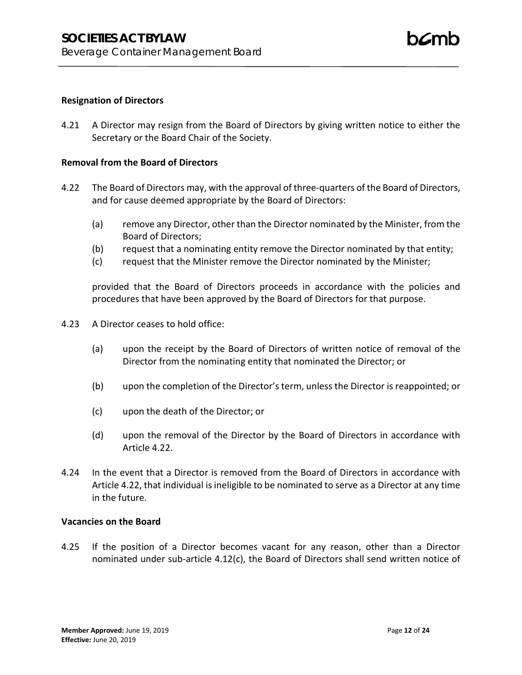## **Resignation of Directors**

4.21 A Director may resign from the Board of Directors by giving written notice to either the Secretary or the Board Chair of the Society.

### **Removal from the Board of Directors**

- 4.22 The Board of Directors may, with the approval of three-quarters of the Board of Directors, and for cause deemed appropriate by the Board of Directors:
	- (a) remove any Director, other than the Director nominated by the Minister, from the Board of Directors;
	- (b) request that a nominating entity remove the Director nominated by that entity;
	- (c) request that the Minister remove the Director nominated by the Minister;

provided that the Board of Directors proceeds in accordance with the policies and procedures that have been approved by the Board of Directors for that purpose.

- 4.23 A Director ceases to hold office:
	- (a) upon the receipt by the Board of Directors of written notice of removal of the Director from the nominating entity that nominated the Director; or
	- (b) upon the completion of the Director's term, unless the Director is reappointed; or
	- (c) upon the death of the Director; or
	- (d) upon the removal of the Director by the Board of Directors in accordance with Article 4.22.
- 4.24 In the event that a Director is removed from the Board of Directors in accordance with Article 4.22, that individual is ineligible to be nominated to serve as a Director at any time in the future.

### **Vacancies on the Board**

4.25 If the position of a Director becomes vacant for any reason, other than a Director nominated under sub-article 4.12(c), the Board of Directors shall send written notice of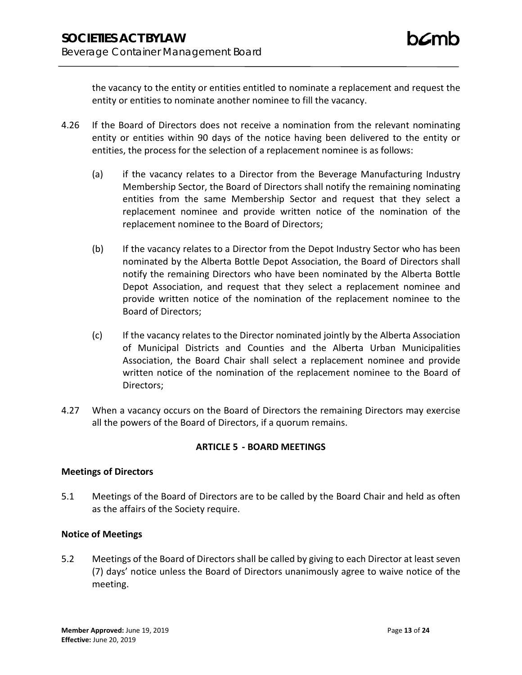the vacancy to the entity or entities entitled to nominate a replacement and request the entity or entities to nominate another nominee to fill the vacancy.

- 4.26 If the Board of Directors does not receive a nomination from the relevant nominating entity or entities within 90 days of the notice having been delivered to the entity or entities, the process for the selection of a replacement nominee is as follows:
	- (a) if the vacancy relates to a Director from the Beverage Manufacturing Industry Membership Sector, the Board of Directors shall notify the remaining nominating entities from the same Membership Sector and request that they select a replacement nominee and provide written notice of the nomination of the replacement nominee to the Board of Directors;
	- (b) If the vacancy relates to a Director from the Depot Industry Sector who has been nominated by the Alberta Bottle Depot Association, the Board of Directors shall notify the remaining Directors who have been nominated by the Alberta Bottle Depot Association, and request that they select a replacement nominee and provide written notice of the nomination of the replacement nominee to the Board of Directors;
	- (c) If the vacancy relates to the Director nominated jointly by the Alberta Association of Municipal Districts and Counties and the Alberta Urban Municipalities Association, the Board Chair shall select a replacement nominee and provide written notice of the nomination of the replacement nominee to the Board of Directors;
- 4.27 When a vacancy occurs on the Board of Directors the remaining Directors may exercise all the powers of the Board of Directors, if a quorum remains.

# **ARTICLE 5 - BOARD MEETINGS**

# **Meetings of Directors**

5.1 Meetings of the Board of Directors are to be called by the Board Chair and held as often as the affairs of the Society require.

# **Notice of Meetings**

5.2 Meetings of the Board of Directors shall be called by giving to each Director at least seven (7) days' notice unless the Board of Directors unanimously agree to waive notice of the meeting.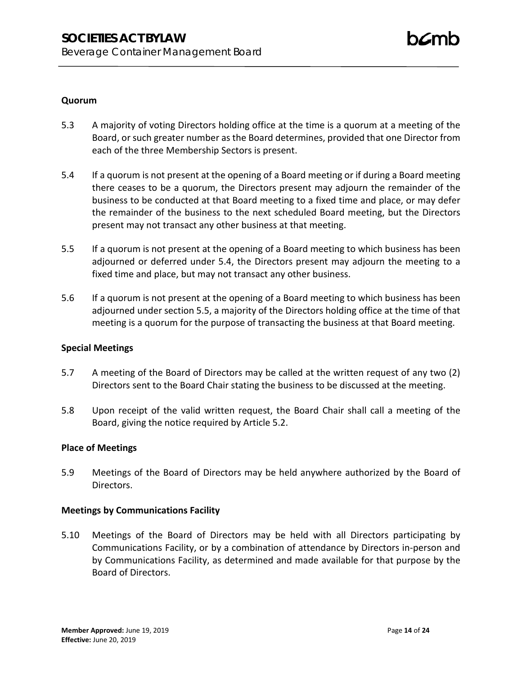# **Quorum**

- 5.3 A majority of voting Directors holding office at the time is a quorum at a meeting of the Board, or such greater number as the Board determines, provided that one Director from each of the three Membership Sectors is present.
- 5.4 If a quorum is not present at the opening of a Board meeting or if during a Board meeting there ceases to be a quorum, the Directors present may adjourn the remainder of the business to be conducted at that Board meeting to a fixed time and place, or may defer the remainder of the business to the next scheduled Board meeting, but the Directors present may not transact any other business at that meeting.
- 5.5 If a quorum is not present at the opening of a Board meeting to which business has been adjourned or deferred under 5.4, the Directors present may adjourn the meeting to a fixed time and place, but may not transact any other business.
- 5.6 If a quorum is not present at the opening of a Board meeting to which business has been adjourned under section 5.5, a majority of the Directors holding office at the time of that meeting is a quorum for the purpose of transacting the business at that Board meeting.

# **Special Meetings**

- 5.7 A meeting of the Board of Directors may be called at the written request of any two (2) Directors sent to the Board Chair stating the business to be discussed at the meeting.
- 5.8 Upon receipt of the valid written request, the Board Chair shall call a meeting of the Board, giving the notice required by Article 5.2.

# **Place of Meetings**

5.9 Meetings of the Board of Directors may be held anywhere authorized by the Board of Directors.

### **Meetings by Communications Facility**

5.10 Meetings of the Board of Directors may be held with all Directors participating by Communications Facility, or by a combination of attendance by Directors in-person and by Communications Facility, as determined and made available for that purpose by the Board of Directors.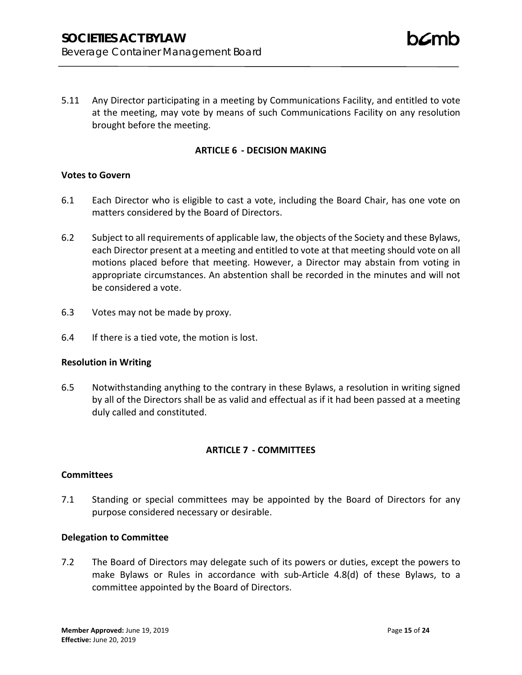5.11 Any Director participating in a meeting by Communications Facility, and entitled to vote at the meeting, may vote by means of such Communications Facility on any resolution brought before the meeting.

### **ARTICLE 6 - DECISION MAKING**

### **Votes to Govern**

- 6.1 Each Director who is eligible to cast a vote, including the Board Chair, has one vote on matters considered by the Board of Directors.
- 6.2 Subject to all requirements of applicable law, the objects of the Society and these Bylaws, each Director present at a meeting and entitled to vote at that meeting should vote on all motions placed before that meeting. However, a Director may abstain from voting in appropriate circumstances. An abstention shall be recorded in the minutes and will not be considered a vote.
- 6.3 Votes may not be made by proxy.
- 6.4 If there is a tied vote, the motion is lost.

### **Resolution in Writing**

6.5 Notwithstanding anything to the contrary in these Bylaws, a resolution in writing signed by all of the Directors shall be as valid and effectual as if it had been passed at a meeting duly called and constituted.

### **ARTICLE 7 - COMMITTEES**

### **Committees**

7.1 Standing or special committees may be appointed by the Board of Directors for any purpose considered necessary or desirable.

### **Delegation to Committee**

7.2 The Board of Directors may delegate such of its powers or duties, except the powers to make Bylaws or Rules in accordance with sub-Article 4.8(d) of these Bylaws, to a committee appointed by the Board of Directors.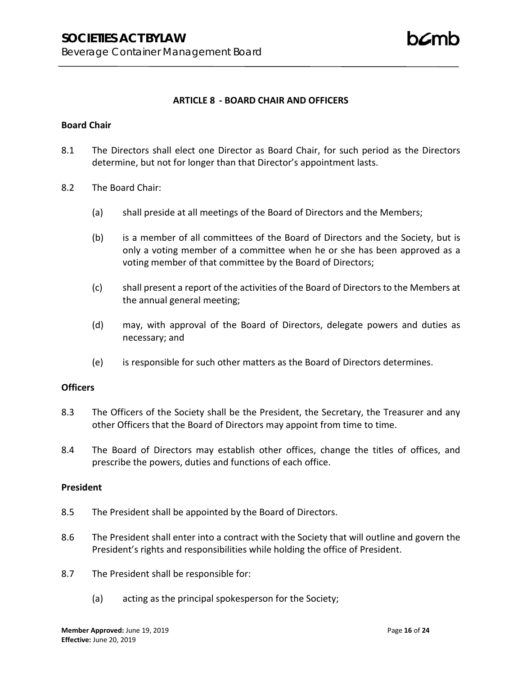### **ARTICLE 8 - BOARD CHAIR AND OFFICERS**

#### **Board Chair**

- 8.1 The Directors shall elect one Director as Board Chair, for such period as the Directors determine, but not for longer than that Director's appointment lasts.
- 8.2 The Board Chair:
	- (a) shall preside at all meetings of the Board of Directors and the Members;
	- (b) is a member of all committees of the Board of Directors and the Society, but is only a voting member of a committee when he or she has been approved as a voting member of that committee by the Board of Directors;
	- (c) shall present a report of the activities of the Board of Directors to the Members at the annual general meeting;
	- (d) may, with approval of the Board of Directors, delegate powers and duties as necessary; and
	- (e) is responsible for such other matters as the Board of Directors determines.

### **Officers**

- 8.3 The Officers of the Society shall be the President, the Secretary, the Treasurer and any other Officers that the Board of Directors may appoint from time to time.
- 8.4 The Board of Directors may establish other offices, change the titles of offices, and prescribe the powers, duties and functions of each office.

# **President**

- 8.5 The President shall be appointed by the Board of Directors.
- 8.6 The President shall enter into a contract with the Society that will outline and govern the President's rights and responsibilities while holding the office of President.
- 8.7 The President shall be responsible for:
	- (a) acting as the principal spokesperson for the Society;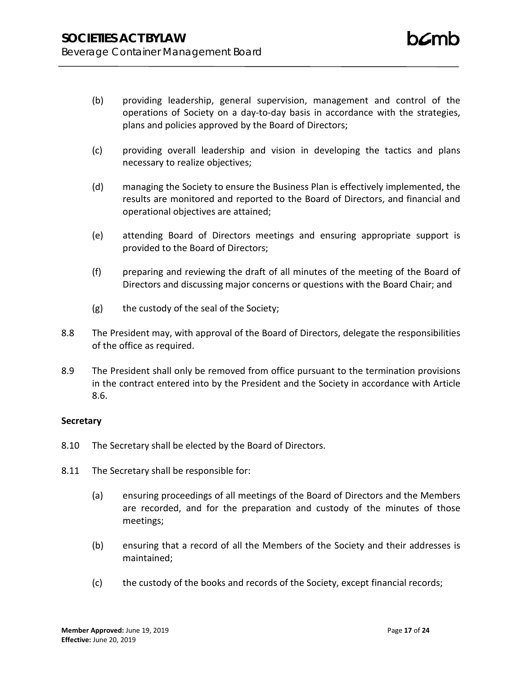- (b) providing leadership, general supervision, management and control of the operations of Society on a day-to-day basis in accordance with the strategies, plans and policies approved by the Board of Directors;
- (c) providing overall leadership and vision in developing the tactics and plans necessary to realize objectives;
- (d) managing the Society to ensure the Business Plan is effectively implemented, the results are monitored and reported to the Board of Directors, and financial and operational objectives are attained;
- (e) attending Board of Directors meetings and ensuring appropriate support is provided to the Board of Directors;
- (f) preparing and reviewing the draft of all minutes of the meeting of the Board of Directors and discussing major concerns or questions with the Board Chair; and
- (g) the custody of the seal of the Society;
- 8.8 The President may, with approval of the Board of Directors, delegate the responsibilities of the office as required.
- 8.9 The President shall only be removed from office pursuant to the termination provisions in the contract entered into by the President and the Society in accordance with Article 8.6.

# **Secretary**

- 8.10 The Secretary shall be elected by the Board of Directors.
- 8.11 The Secretary shall be responsible for:
	- (a) ensuring proceedings of all meetings of the Board of Directors and the Members are recorded, and for the preparation and custody of the minutes of those meetings;
	- (b) ensuring that a record of all the Members of the Society and their addresses is maintained;
	- (c) the custody of the books and records of the Society, except financial records;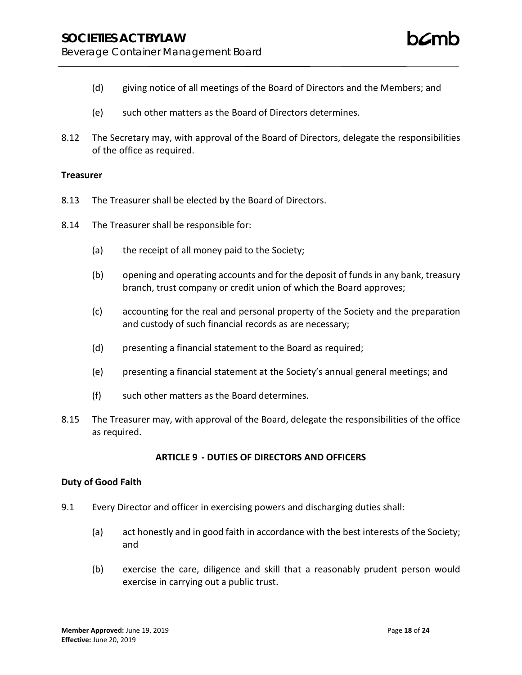- (d) giving notice of all meetings of the Board of Directors and the Members; and
- (e) such other matters as the Board of Directors determines.
- 8.12 The Secretary may, with approval of the Board of Directors, delegate the responsibilities of the office as required.

### **Treasurer**

- 8.13 The Treasurer shall be elected by the Board of Directors.
- 8.14 The Treasurer shall be responsible for:
	- (a) the receipt of all money paid to the Society;
	- (b) opening and operating accounts and for the deposit of funds in any bank, treasury branch, trust company or credit union of which the Board approves;
	- (c) accounting for the real and personal property of the Society and the preparation and custody of such financial records as are necessary;
	- (d) presenting a financial statement to the Board as required;
	- (e) presenting a financial statement at the Society's annual general meetings; and
	- (f) such other matters as the Board determines.
- 8.15 The Treasurer may, with approval of the Board, delegate the responsibilities of the office as required.

### **ARTICLE 9 - DUTIES OF DIRECTORS AND OFFICERS**

### **Duty of Good Faith**

- 9.1 Every Director and officer in exercising powers and discharging duties shall:
	- (a) act honestly and in good faith in accordance with the best interests of the Society; and
	- (b) exercise the care, diligence and skill that a reasonably prudent person would exercise in carrying out a public trust.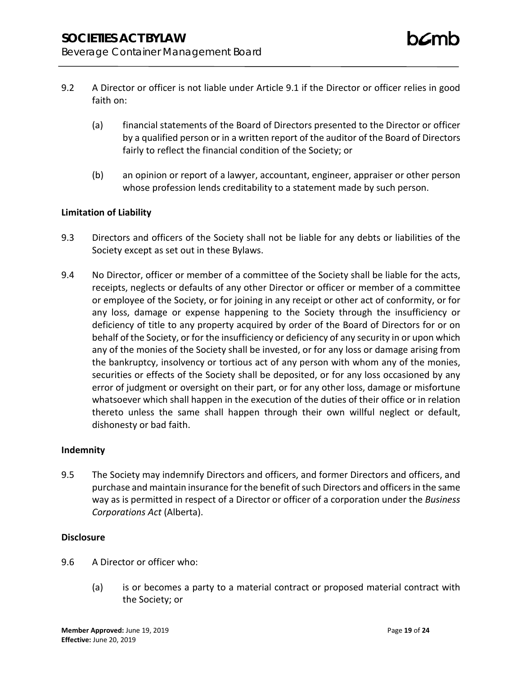- 9.2 A Director or officer is not liable under Article 9.1 if the Director or officer relies in good faith on:
	- (a) financial statements of the Board of Directors presented to the Director or officer by a qualified person or in a written report of the auditor of the Board of Directors fairly to reflect the financial condition of the Society; or
	- (b) an opinion or report of a lawyer, accountant, engineer, appraiser or other person whose profession lends creditability to a statement made by such person.

# **Limitation of Liability**

- 9.3 Directors and officers of the Society shall not be liable for any debts or liabilities of the Society except as set out in these Bylaws.
- 9.4 No Director, officer or member of a committee of the Society shall be liable for the acts, receipts, neglects or defaults of any other Director or officer or member of a committee or employee of the Society, or for joining in any receipt or other act of conformity, or for any loss, damage or expense happening to the Society through the insufficiency or deficiency of title to any property acquired by order of the Board of Directors for or on behalf of the Society, or for the insufficiency or deficiency of any security in or upon which any of the monies of the Society shall be invested, or for any loss or damage arising from the bankruptcy, insolvency or tortious act of any person with whom any of the monies, securities or effects of the Society shall be deposited, or for any loss occasioned by any error of judgment or oversight on their part, or for any other loss, damage or misfortune whatsoever which shall happen in the execution of the duties of their office or in relation thereto unless the same shall happen through their own willful neglect or default, dishonesty or bad faith.

### **Indemnity**

9.5 The Society may indemnify Directors and officers, and former Directors and officers, and purchase and maintain insurance for the benefit of such Directors and officers in the same way as is permitted in respect of a Director or officer of a corporation under the *Business Corporations Act* (Alberta).

### **Disclosure**

- 9.6 A Director or officer who:
	- (a) is or becomes a party to a material contract or proposed material contract with the Society; or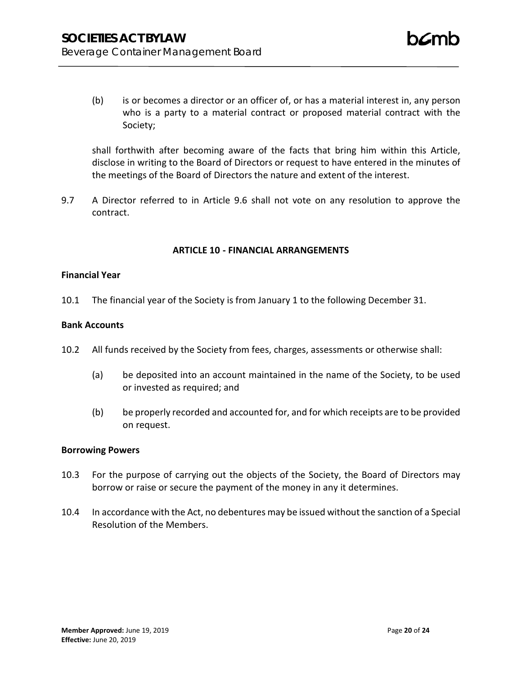(b) is or becomes a director or an officer of, or has a material interest in, any person who is a party to a material contract or proposed material contract with the Society;

shall forthwith after becoming aware of the facts that bring him within this Article, disclose in writing to the Board of Directors or request to have entered in the minutes of the meetings of the Board of Directors the nature and extent of the interest.

9.7 A Director referred to in Article 9.6 shall not vote on any resolution to approve the contract.

# **ARTICLE 10 - FINANCIAL ARRANGEMENTS**

### **Financial Year**

10.1 The financial year of the Society is from January 1 to the following December 31.

### **Bank Accounts**

- 10.2 All funds received by the Society from fees, charges, assessments or otherwise shall:
	- (a) be deposited into an account maintained in the name of the Society, to be used or invested as required; and
	- (b) be properly recorded and accounted for, and for which receipts are to be provided on request.

### **Borrowing Powers**

- 10.3 For the purpose of carrying out the objects of the Society, the Board of Directors may borrow or raise or secure the payment of the money in any it determines.
- 10.4 In accordance with the Act, no debentures may be issued without the sanction of a Special Resolution of the Members.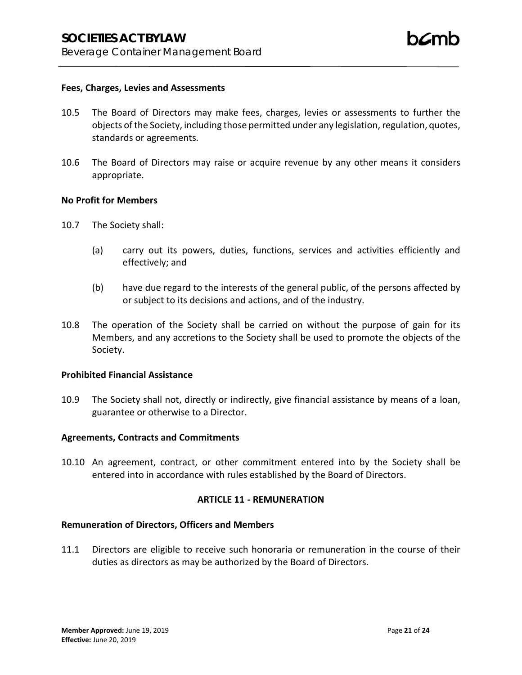#### **Fees, Charges, Levies and Assessments**

- 10.5 The Board of Directors may make fees, charges, levies or assessments to further the objects of the Society, including those permitted under any legislation, regulation, quotes, standards or agreements.
- 10.6 The Board of Directors may raise or acquire revenue by any other means it considers appropriate.

#### **No Profit for Members**

- 10.7 The Society shall:
	- (a) carry out its powers, duties, functions, services and activities efficiently and effectively; and
	- (b) have due regard to the interests of the general public, of the persons affected by or subject to its decisions and actions, and of the industry.
- 10.8 The operation of the Society shall be carried on without the purpose of gain for its Members, and any accretions to the Society shall be used to promote the objects of the Society.

### **Prohibited Financial Assistance**

10.9 The Society shall not, directly or indirectly, give financial assistance by means of a loan, guarantee or otherwise to a Director.

#### **Agreements, Contracts and Commitments**

10.10 An agreement, contract, or other commitment entered into by the Society shall be entered into in accordance with rules established by the Board of Directors.

### **ARTICLE 11 - REMUNERATION**

#### **Remuneration of Directors, Officers and Members**

11.1 Directors are eligible to receive such honoraria or remuneration in the course of their duties as directors as may be authorized by the Board of Directors.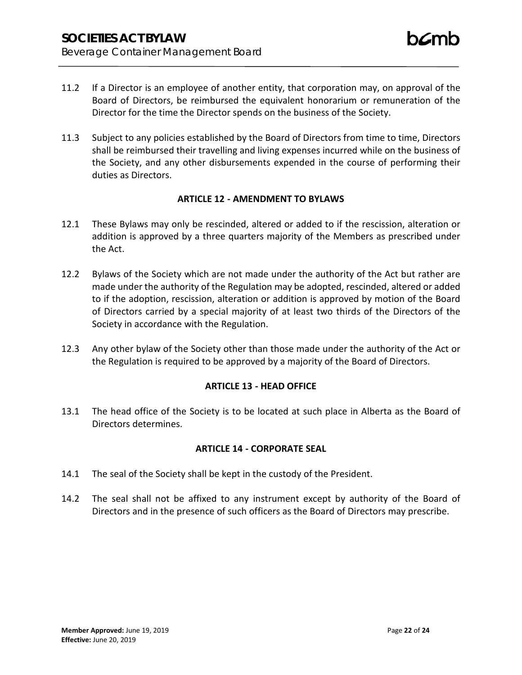- 11.2 If a Director is an employee of another entity, that corporation may, on approval of the Board of Directors, be reimbursed the equivalent honorarium or remuneration of the Director for the time the Director spends on the business of the Society.
- 11.3 Subject to any policies established by the Board of Directors from time to time, Directors shall be reimbursed their travelling and living expenses incurred while on the business of the Society, and any other disbursements expended in the course of performing their duties as Directors.

### **ARTICLE 12 - AMENDMENT TO BYLAWS**

- 12.1 These Bylaws may only be rescinded, altered or added to if the rescission, alteration or addition is approved by a three quarters majority of the Members as prescribed under the Act.
- 12.2 Bylaws of the Society which are not made under the authority of the Act but rather are made under the authority of the Regulation may be adopted, rescinded, altered or added to if the adoption, rescission, alteration or addition is approved by motion of the Board of Directors carried by a special majority of at least two thirds of the Directors of the Society in accordance with the Regulation.
- 12.3 Any other bylaw of the Society other than those made under the authority of the Act or the Regulation is required to be approved by a majority of the Board of Directors.

# **ARTICLE 13 - HEAD OFFICE**

13.1 The head office of the Society is to be located at such place in Alberta as the Board of Directors determines.

### **ARTICLE 14 - CORPORATE SEAL**

- 14.1 The seal of the Society shall be kept in the custody of the President.
- 14.2 The seal shall not be affixed to any instrument except by authority of the Board of Directors and in the presence of such officers as the Board of Directors may prescribe.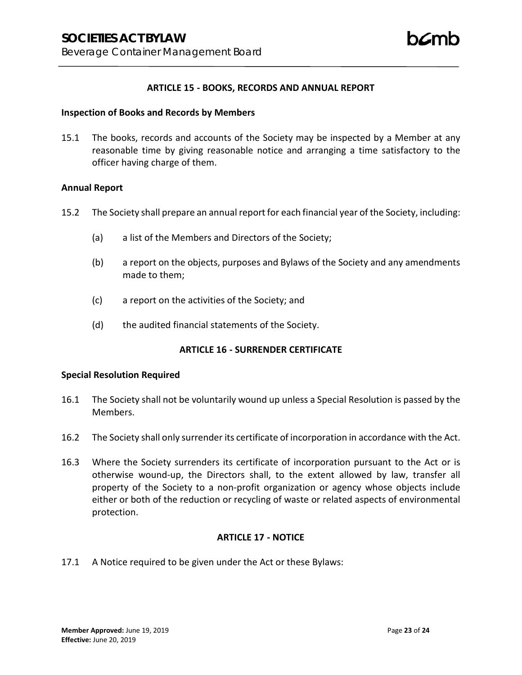### **ARTICLE 15 - BOOKS, RECORDS AND ANNUAL REPORT**

#### **Inspection of Books and Records by Members**

15.1 The books, records and accounts of the Society may be inspected by a Member at any reasonable time by giving reasonable notice and arranging a time satisfactory to the officer having charge of them.

### **Annual Report**

- 15.2 The Society shall prepare an annual report for each financial year of the Society, including:
	- (a) a list of the Members and Directors of the Society;
	- (b) a report on the objects, purposes and Bylaws of the Society and any amendments made to them;
	- (c) a report on the activities of the Society; and
	- (d) the audited financial statements of the Society.

### **ARTICLE 16 - SURRENDER CERTIFICATE**

### **Special Resolution Required**

- 16.1 The Society shall not be voluntarily wound up unless a Special Resolution is passed by the Members.
- 16.2 The Society shall only surrender its certificate of incorporation in accordance with the Act.
- 16.3 Where the Society surrenders its certificate of incorporation pursuant to the Act or is otherwise wound-up, the Directors shall, to the extent allowed by law, transfer all property of the Society to a non-profit organization or agency whose objects include either or both of the reduction or recycling of waste or related aspects of environmental protection.

### **ARTICLE 17 - NOTICE**

17.1 A Notice required to be given under the Act or these Bylaws: